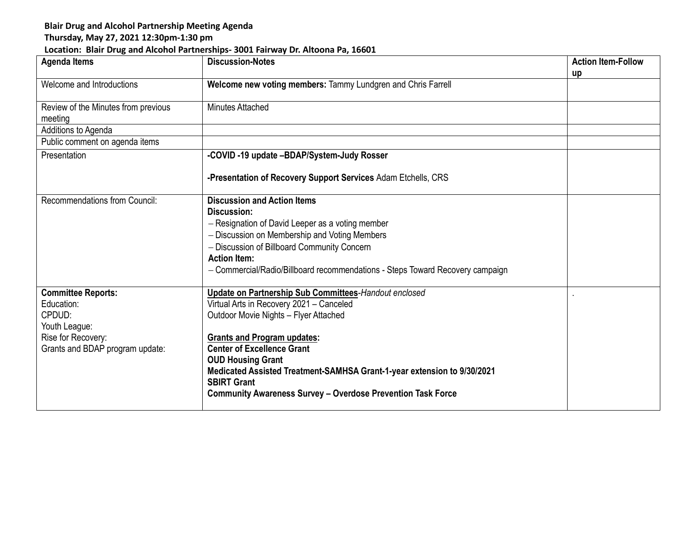## **Blair Drug and Alcohol Partnership Meeting Agenda**

## **Thursday, May 27, 2021 12:30pm-1:30 pm**

## **Location: Blair Drug and Alcohol Partnerships- 3001 Fairway Dr. Altoona Pa, 16601**

| <b>Agenda Items</b>                 | <b>Discussion-Notes</b>                                                       | <b>Action Item-Follow</b> |
|-------------------------------------|-------------------------------------------------------------------------------|---------------------------|
|                                     |                                                                               | up                        |
| Welcome and Introductions           | Welcome new voting members: Tammy Lundgren and Chris Farrell                  |                           |
| Review of the Minutes from previous | Minutes Attached                                                              |                           |
| meeting                             |                                                                               |                           |
| Additions to Agenda                 |                                                                               |                           |
| Public comment on agenda items      |                                                                               |                           |
| Presentation                        | -COVID -19 update -BDAP/System-Judy Rosser                                    |                           |
|                                     |                                                                               |                           |
|                                     | -Presentation of Recovery Support Services Adam Etchells, CRS                 |                           |
| Recommendations from Council:       | <b>Discussion and Action Items</b>                                            |                           |
|                                     | Discussion:                                                                   |                           |
|                                     | - Resignation of David Leeper as a voting member                              |                           |
|                                     | - Discussion on Membership and Voting Members                                 |                           |
|                                     | - Discussion of Billboard Community Concern                                   |                           |
|                                     | <b>Action Item:</b>                                                           |                           |
|                                     | - Commercial/Radio/Billboard recommendations - Steps Toward Recovery campaign |                           |
|                                     |                                                                               |                           |
| <b>Committee Reports:</b>           | <b>Update on Partnership Sub Committees-Handout enclosed</b>                  |                           |
| Education:                          | Virtual Arts in Recovery 2021 - Canceled                                      |                           |
| CPDUD:                              | Outdoor Movie Nights - Flyer Attached                                         |                           |
| Youth League:                       |                                                                               |                           |
| Rise for Recovery:                  | <b>Grants and Program updates:</b>                                            |                           |
| Grants and BDAP program update:     | <b>Center of Excellence Grant</b>                                             |                           |
|                                     | <b>OUD Housing Grant</b>                                                      |                           |
|                                     | Medicated Assisted Treatment-SAMHSA Grant-1-year extension to 9/30/2021       |                           |
|                                     | <b>SBIRT Grant</b>                                                            |                           |
|                                     | <b>Community Awareness Survey - Overdose Prevention Task Force</b>            |                           |
|                                     |                                                                               |                           |